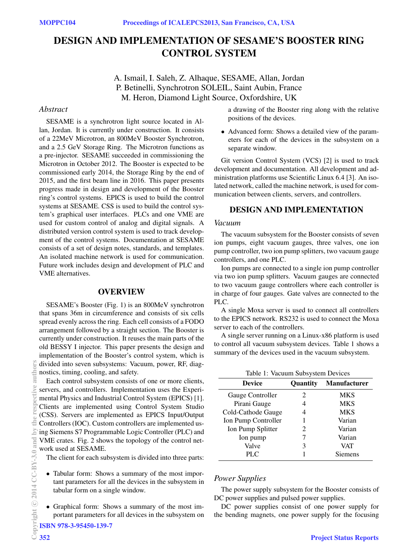# DESIGN AND IMPLEMENTATION OF SESAME'S BOOSTER RING CONTROL SYSTEM

A. Ismail, I. Saleh, Z. Alhaque, SESAME, Allan, Jordan P. Betinelli, Synchrotron SOLEIL, Saint Aubin, France M. Heron, Diamond Light Source, Oxfordshire, UK

# *Abstract*

SESAME is a synchrotron light source located in Allan, Jordan. It is currently under construction. It consists of a 22MeV Microtron, an 800MeV Booster Synchrotron, and a 2.5 GeV Storage Ring. The Microtron functions as a pre-injector. SESAME succeeded in commissioning the Microtron in October 2012. The Booster is expected to be commissioned early 2014, the Storage Ring by the end of 2015, and the first beam line in 2016. This paper presents progress made in design and development of the Booster ring's control systems. EPICS is used to build the control systems at SESAME. CSS is used to build the control system's graphical user interfaces. PLCs and one VME are used for custom control of analog and digital signals. A distributed version control system is used to track development of the control systems. Documentation at SESAME consists of a set of design notes, standards, and templates. An isolated machine network is used for communication. Future work includes design and development of PLC and VME alternatives.

## OVERVIEW

SESAME's Booster (Fig. 1) is an 800MeV synchrotron that spans 36m in circumference and consists of six cells spread evenly across the ring. Each cell consists of a FODO arrangement followed by a straight section. The Booster is currently under construction. It reuses the main parts of the old BESSY I injector. This paper presents the design and implementation of the Booster's control system, which is divided into seven subsystems: Vacuum, power, RF, diagnostics, timing, cooling, and safety.

Each control subsystem consists of one or more clients, servers, and controllers. Implementation uses the Experimental Physics and Industrial Control System (EPICS) [1]. Clients are implemented using Control System Studio (CSS). Servers are implemented as EPICS Input/Output Controllers (IOC). Custom controllers are implemented using Siemens S7 Programmable Logic Controller (PLC) and VME crates. Fig. 2 shows the topology of the control network used at SESAME.

The client for each subsystem is divided into three parts:

- Tabular form: Shows a summary of the most important parameters for all the devices in the subsystem in tabular form on a single window.
- Graphical form: Shows a summary of the most important parameters for all devices in the subsystem on

ISBN 978-3-95450-139-7

a drawing of the Booster ring along with the relative positions of the devices.

• Advanced form: Shows a detailed view of the parameters for each of the devices in the subsystem on a separate window.

Git version Control System (VCS) [2] is used to track development and documentation. All development and administration platforms use Scientific Linux 6.4 [3]. An isolated network, called the machine network, is used for communication between clients, servers, and controllers.

# DESIGN AND IMPLEMENTATION

#### *Vacuum*

The vacuum subsystem for the Booster consists of seven ion pumps, eight vacuum gauges, three valves, one ion pump controller, two ion pump splitters, two vacuum gauge controllers, and one PLC.

Ion pumps are connected to a single ion pump controller via two ion pump splitters. Vacuum gauges are connected to two vacuum gauge controllers where each controller is in charge of four gauges. Gate valves are connected to the PLC.

A single Moxa server is used to connect all controllers to the EPICS network. RS232 is used to connect the Moxa server to each of the controllers.

A single server running on a Linux-x86 platform is used to control all vacuum subsystem devices. Table 1 shows a summary of the devices used in the vacuum subsystem.

| Table 1: Vacuum Subsystem Devices |          |                     |  |  |
|-----------------------------------|----------|---------------------|--|--|
| <b>Device</b>                     | Quantity | <b>Manufacturer</b> |  |  |
| Gauge Controller                  | 2        | MKS                 |  |  |
| Pirani Gauge                      | 4        | <b>MKS</b>          |  |  |
| Cold-Cathode Gauge                | 4        | <b>MKS</b>          |  |  |
| Ion Pump Controller               |          | Varian              |  |  |
| Ion Pump Splitter                 | 2        | Varian              |  |  |
| Ion pump                          |          | Varian              |  |  |
| Valve                             | 3        | VAT                 |  |  |
| PLC.                              |          | Siemens             |  |  |

# *Power Supplies*

The power supply subsystem for the Booster consists of DC power supplies and pulsed power supplies.

DC power supplies consist of one power supply for the bending magnets, one power supply for the focusing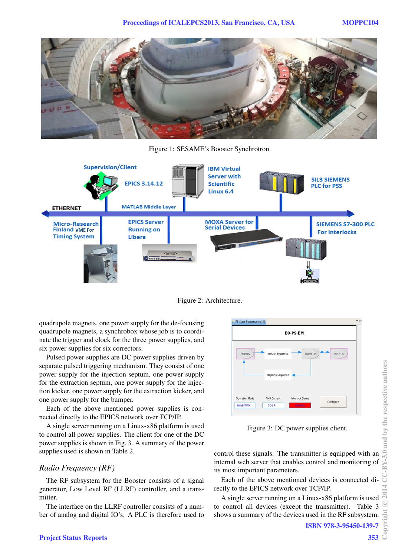

Figure 1: SESAME's Booster Synchrotron.



Figure 2: Architecture.

quadrupole magnets, one power supply for the de-focusing quadrupole magnets, a synchrobox whose job is to coordinate the trigger and clock for the three power supplies, and six power supplies for six correctors.

Pulsed power supplies are DC power supplies driven by separate pulsed triggering mechanism. They consist of one power supply for the injection septum, one power supply for the extraction septum, one power supply for the injection kicker, one power supply for the extraction kicker, and one power supply for the bumper.

Each of the above mentioned power supplies is connected directly to the EPICS network over TCP/IP.

A single server running on a Linux-x86 platform is used to control all power supplies. The client for one of the DC power supplies is shown in Fig. 3. A summary of the power supplies used is shown in Table 2.

## *Radio Frequency (RF)*

The RF subsystem for the Booster consists of a signal generator, Low Level RF (LLRF) controller, and a transmitter.

The interface on the LLRF controller consists of a number of analog and digital IO's. A PLC is therefore used to



Figure 3: DC power supplies client.

control these signals. The transmitter is equipped with an internal web server that enables control and monitoring of its most important parameters.

Each of the above mentioned devices is connected directly to the EPICS network over TCP/IP.

A single server running on a Linux-x86 platform is used to control all devices (except the transmitter). Table 3 shows a summary of the devices used in the RF subsystem.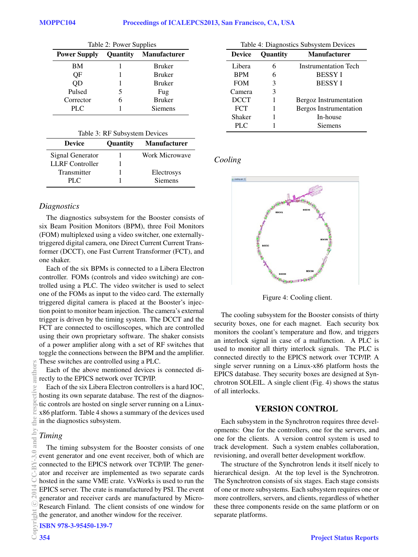| Table 2: Power Supplies |   |                              |  |
|-------------------------|---|------------------------------|--|
| <b>Power Supply</b>     |   | <b>Quantity Manufacturer</b> |  |
| BМ                      |   | <b>Bruker</b>                |  |
| OF                      |   | <b>Bruker</b>                |  |
| QD                      |   | <b>Bruker</b>                |  |
| Pulsed                  | 5 | Fug                          |  |
| Corrector               |   | <b>Bruker</b>                |  |
| PLC                     |   | <b>Siemens</b>               |  |

| Table 3: RF Subsystem Devices |  |  |
|-------------------------------|--|--|
|-------------------------------|--|--|

| <b>Device</b>          | <b>Ouantity</b> | <b>Manufacturer</b> |
|------------------------|-----------------|---------------------|
| Signal Generator       |                 | Work Microwave      |
| <b>LLRF</b> Controller |                 |                     |
| Transmitter            |                 | Electrosys          |
| PLC                    |                 | <b>Siemens</b>      |

#### *Diagnostics*

The diagnostics subsystem for the Booster consists of six Beam Position Monitors (BPM), three Foil Monitors (FOM) multiplexed using a video switcher, one externallytriggered digital camera, one Direct Current Current Transformer (DCCT), one Fast Current Transformer (FCT), and one shaker.

Each of the six BPMs is connected to a Libera Electron controller. FOMs (controls and video switching) are controlled using a PLC. The video switcher is used to select one of the FOMs as input to the video card. The externally triggered digital camera is placed at the Booster's injection point to monitor beam injection. The camera's external trigger is driven by the timing system. The DCCT and the FCT are connected to oscilloscopes, which are controlled using their own proprietary software. The shaker consists of a power amplifier along with a set of RF switches that toggle the connections between the BPM and the amplifier. These switches are controlled using a PLC.

Each of the above mentioned devices is connected directly to the EPICS network over TCP/IP.

Each of the six Libera Electron controllers is a hard IOC, hosting its own separate database. The rest of the diagnostic controls are hosted on single server running on a Linuxx86 platform. Table 4 shows a summary of the devices used in the diagnostics subsystem.

# *Timing*

The timing subsystem for the Booster consists of one event generator and one event receiver, both of which are connected to the EPICS network over TCP/IP. The generator and receiver are implemented as two separate cards hosted in the same VME crate. VxWorks is used to run the EPICS server. The crate is manufactured by PSI. The event generator and receiver cards are manufactured by Micro-Research Finland. The client consists of one window for the generator, and another window for the receiver.

| Table 4: Diagnostics Subsystem Devices |                 |                        |  |  |
|----------------------------------------|-----------------|------------------------|--|--|
| <b>Device</b>                          | <b>Ouantity</b> | <b>Manufacturer</b>    |  |  |
| Libera                                 | 6               | Instrumentation Tech   |  |  |
| <b>BPM</b>                             | 6               | <b>BESSY I</b>         |  |  |
| <b>FOM</b>                             | 3               | <b>BESSY I</b>         |  |  |
| Camera                                 | 3               |                        |  |  |
| <b>DCCT</b>                            |                 | Bergoz Instrumentation |  |  |
| <b>FCT</b>                             |                 | Bergos Instrumentation |  |  |
| Shaker                                 |                 | In-house               |  |  |
| PLC                                    |                 | Siemens                |  |  |

# *Cooling*



Figure 4: Cooling client.

The cooling subsystem for the Booster consists of thirty security boxes, one for each magnet. Each security box monitors the coolant's temperature and flow, and triggers an interlock signal in case of a malfunction. A PLC is used to monitor all thirty interlock signals. The PLC is connected directly to the EPICS network over TCP/IP. A single server running on a Linux-x86 platform hosts the EPICS database. They security boxes are designed at Synchrotron SOLEIL. A single client (Fig. 4) shows the status of all interlocks.

## VERSION CONTROL

Each subsystem in the Synchrotron requires three developments: One for the controllers, one for the servers, and one for the clients. A version control system is used to track development. Such a system enables collaboration, revisioning, and overall better development workflow.

The structure of the Synchrotron lends it itself nicely to hierarchical design. At the top level is the Synchrotron. The Synchrotron consists of six stages. Each stage consists of one or more subsystems. Each subsystem requires one or more controllers, servers, and clients, regardless of whether these three components reside on the same platform or on separate platforms.